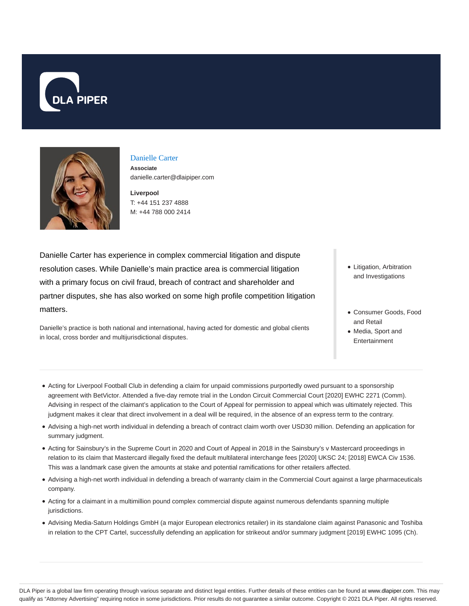



#### Danielle Carter

**Associate** danielle.carter@dlaipiper.com

**Liverpool** T: +44 151 237 4888 M: +44 788 000 2414

Danielle Carter has experience in complex commercial litigation and dispute resolution cases. While Danielle's main practice area is commercial litigation with a primary focus on civil fraud, breach of contract and shareholder and partner disputes, she has also worked on some high profile competition litigation matters.

Danielle's practice is both national and international, having acted for domestic and global clients in local, cross border and multijurisdictional disputes.

- Litigation, Arbitration and Investigations
- Consumer Goods, Food and Retail
- Media, Sport and Entertainment
- Acting for Liverpool Football Club in defending a claim for unpaid commissions purportedly owed pursuant to a sponsorship agreement with BetVictor. Attended a five-day remote trial in the London Circuit Commercial Court [2020] EWHC 2271 (Comm). Advising in respect of the claimant's application to the Court of Appeal for permission to appeal which was ultimately rejected. This judgment makes it clear that direct involvement in a deal will be required, in the absence of an express term to the contrary.
- Advising a high-net worth individual in defending a breach of contract claim worth over USD30 million. Defending an application for summary judgment.
- Acting for Sainsbury's in the Supreme Court in 2020 and Court of Appeal in 2018 in the Sainsbury's v Mastercard proceedings in relation to its claim that Mastercard illegally fixed the default multilateral interchange fees [2020] UKSC 24; [2018] EWCA Civ 1536. This was a landmark case given the amounts at stake and potential ramifications for other retailers affected.
- Advising a high-net worth individual in defending a breach of warranty claim in the Commercial Court against a large pharmaceuticals company.
- Acting for a claimant in a multimillion pound complex commercial dispute against numerous defendants spanning multiple jurisdictions.
- Advising Media-Saturn Holdings GmbH (a major European electronics retailer) in its standalone claim against Panasonic and Toshiba in relation to the CPT Cartel, successfully defending an application for strikeout and/or summary judgment [2019] EWHC 1095 (Ch).

DLA Piper is a global law firm operating through various separate and distinct legal entities. Further details of these entities can be found at www.dlapiper.com. This may qualify as "Attorney Advertising" requiring notice in some jurisdictions. Prior results do not guarantee a similar outcome. Copyright © 2021 DLA Piper. All rights reserved.